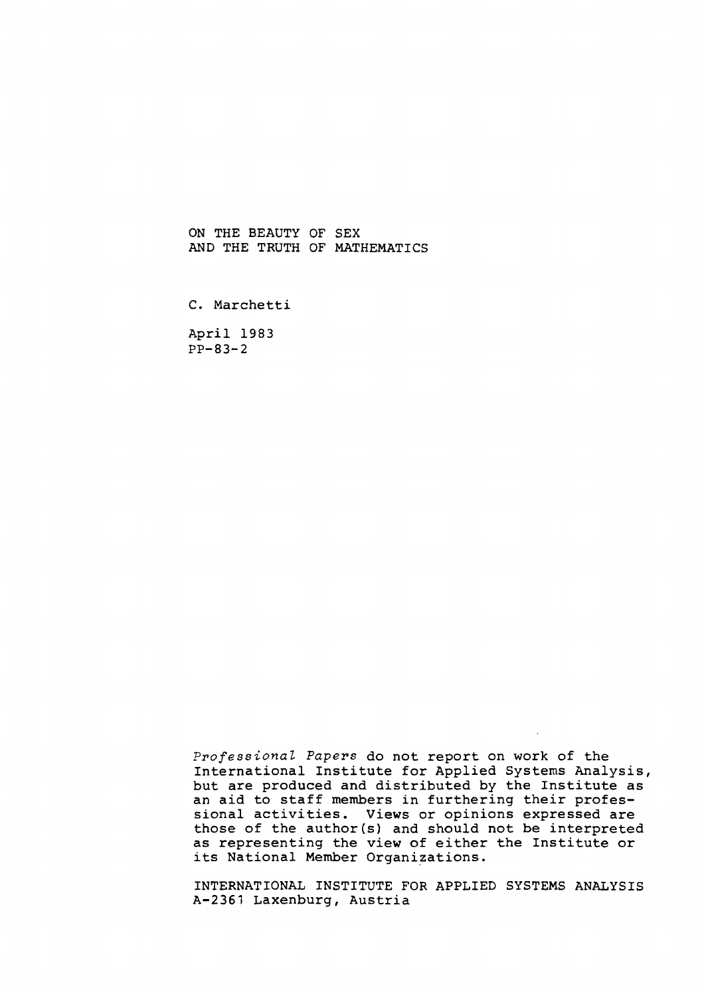ON THE BEAUTY OF SEX AND THE TRUTH OF MATHEMATICS

C. Marchetti

April 1983 PP-83-2

*ProfessionaZ Papers* do not report on work of the International Institute for Applied Systems Analysis, but are produced and distributed by the Institute as an aid to staff members in furthering their professional activities. Views or opinions expressed are those of the author(s) and should not be interpreted as representing the view of either the Institute or its National Member Organizations.

INTERNATIONAL INSTITUTE FOR APPLIED SYSTEMS ANALYSIS A-2361 Laxenburg, Austria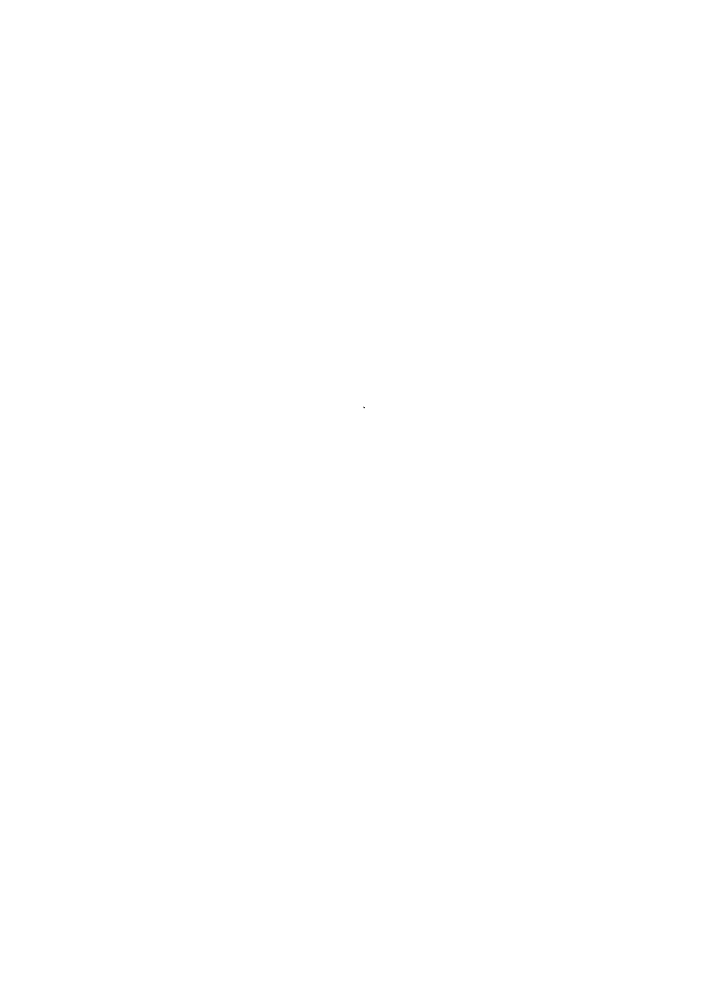$\label{eq:2.1} \frac{1}{\sqrt{2}}\left(\frac{1}{\sqrt{2}}\right)^{2} \left(\frac{1}{\sqrt{2}}\right)^{2} \left(\frac{1}{\sqrt{2}}\right)^{2} \left(\frac{1}{\sqrt{2}}\right)^{2} \left(\frac{1}{\sqrt{2}}\right)^{2} \left(\frac{1}{\sqrt{2}}\right)^{2} \left(\frac{1}{\sqrt{2}}\right)^{2} \left(\frac{1}{\sqrt{2}}\right)^{2} \left(\frac{1}{\sqrt{2}}\right)^{2} \left(\frac{1}{\sqrt{2}}\right)^{2} \left(\frac{1}{\sqrt{2}}\right)^{2} \left(\$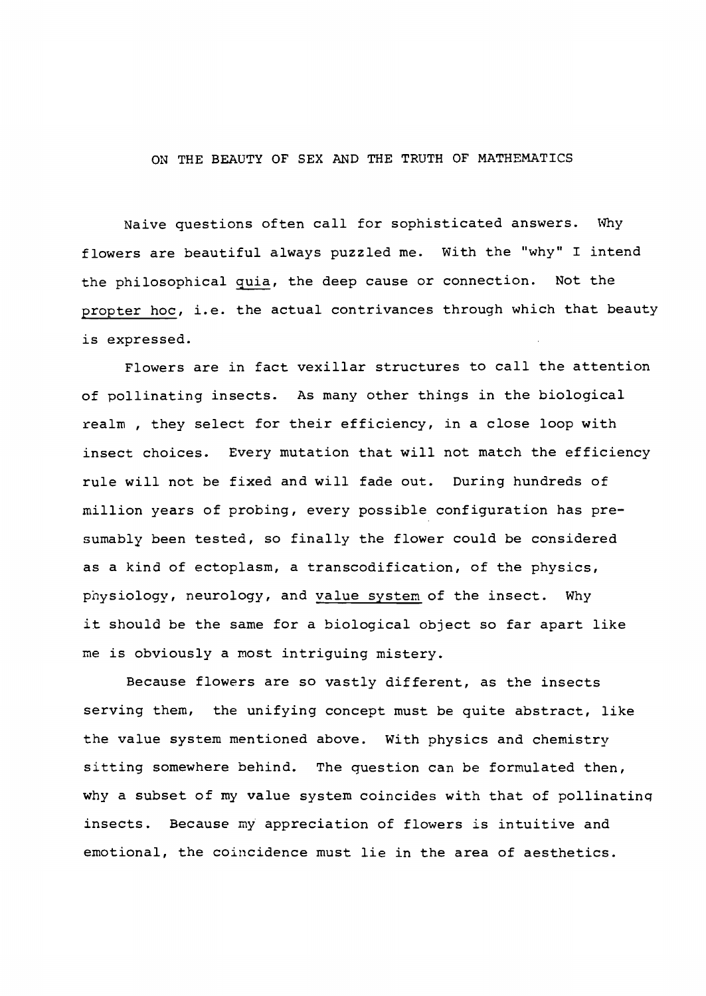## ON THE BEAUTY OF SEX AND THE TRUTH OF MATHEMATICS

Naive questions often call for sophisticated answers. Why flowers are beautiful always puzzled me. With the "why" I intend the philosophical quia, the deep cause or connection. Not the propter hoc, i.e. the actual contrivances through which that beauty is expressed.

Flowers are in fact vexillar structures to call the attention of pollinating insects. As many other things in the biological realm, they select for their efficiency, in <sup>a</sup> close loop with insect choices. Every mutation that will not match the efficiency rule will not be fixed and will fade out. During hundreds of million years of probing, every possible configuration has presumably been tested, so finally the flower could be considered as a kind of ectoplasm, a transcodification, of the physics, physiology, neurology, and value system of the insect. Why it should be the same for <sup>a</sup> biological object so far apart like me is obviously <sup>a</sup> most intriguing mistery.

Because flowers are so vastly different, as the insects serving them, the unifying concept must be quite abstract, like the value system mentioned above. With physics and chemistry sitting somewhere behind. The question can be formulated then, why <sup>a</sup> subset of my value system coincides with that of pollinatinq insects. Because my appreciation of flowers is intuitive and emotional, the coincidence must lie in the area of aesthetics.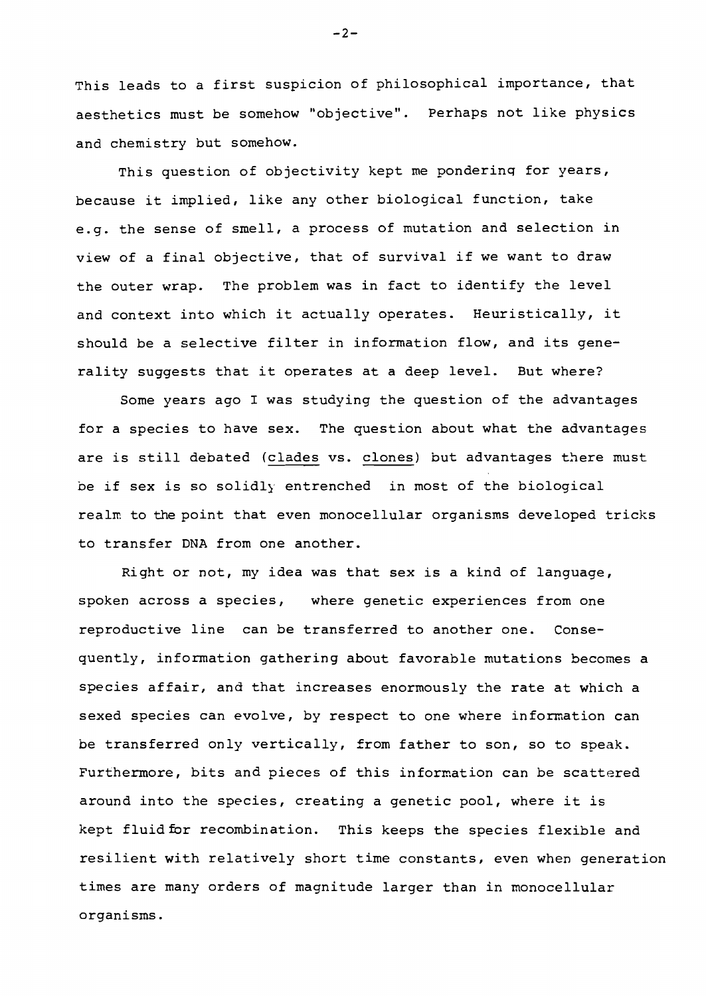This leads to <sup>a</sup> first suspicion of philosophical importance, that aesthetics must be somehow "objective". Perhaps not like physics and chemistry but somehow.

This question of objectivity kept me ponderinq for years, because it implied, like any other biological function, take e.g. the sense of smell, a process of mutation and selection in view of <sup>a</sup> final objective, that of survival if we want to draw the outer wrap. The problem was in fact to identify the level and context into which it actually operates. Heuristically, it should be <sup>a</sup> selective filter in information flow, and its generality suggests that it operates at <sup>a</sup> deep level. But where?

Some years ago I was studying the question of the advantages for a species to have sex. The question about what the advantages are is still debated (clades vs. clones) but advantages there must be if sex is so solidly entrenched in most of the biological realm to the point that even monocellular organisms developed tricks to transfer DNA from one another.

Right or not, my idea was that sex is <sup>a</sup> kind of language, spoken across a species, where genetic experiences from one reproductive line can be transferred to another one. Consequently, information gathering about favorable mutations becomes a species affair, and that increases enormously the rate at which <sup>a</sup> sexed species can evolve, by respect to one where information can be transferred only vertically, from father to son, so to speak. Furthermore, bits and pieces of this information can be scattered around into the species, creating <sup>a</sup> genetic pool, where it is kept fluid for recombination. This keeps the species flexible and resilient with relatively short time constants, even when generation times are many orders of magnitude larger than in monocellular organisms.

 $-2-$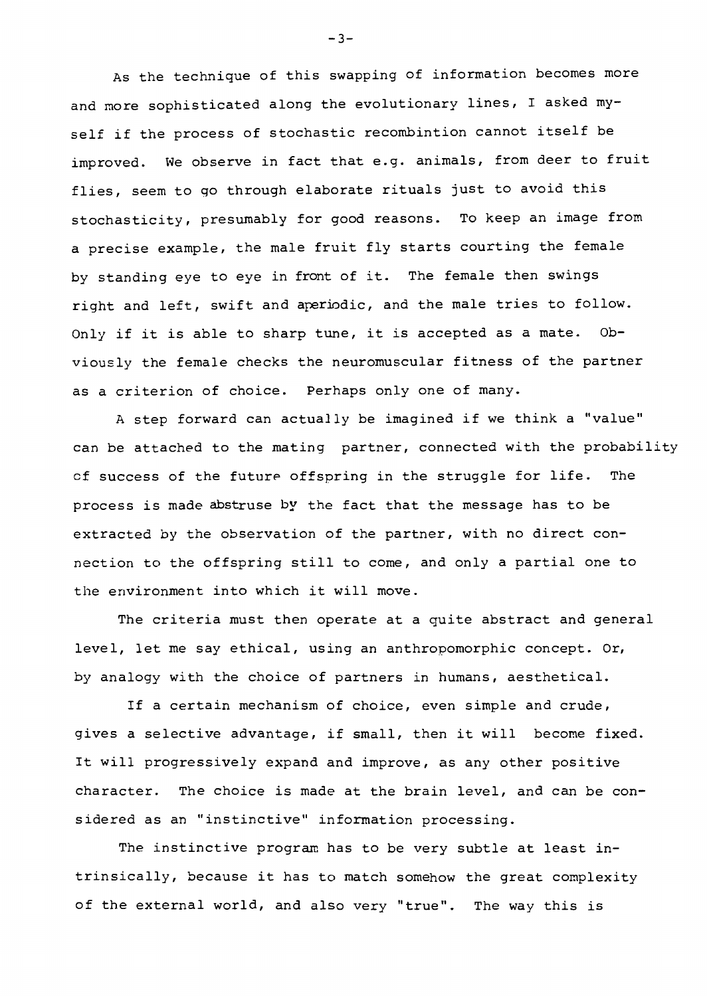As the technique of this swapping of information becomes more and more sophisticated along the evolutionary lines, <sup>I</sup> asked myself if the process of stochastic recombintion cannot itself be improved. We observe in fact that e.g. animals, from deer to fruit flies, seem to go through elaborate rituals just to avoid this stochasticity, presumably for good reasons. To keep an image from <sup>a</sup> precise example, the male fruit fly starts courting the female by standing eye to eye in front of it. The female then swings right and left, swift and aperiodic, and the male tries to follow. Only if it is able to sharp tune, it is accepted as <sup>a</sup> mate. Obviously the female checks the neuromuscular fitness of the partner as <sup>a</sup> criterion of choice. Perhaps only one of many.

<sup>A</sup> step forward can actually be imagined if we think <sup>a</sup> "value" can be attached to the mating partner, connected with the probability of success of the future offspring in the struggle for life. The process is made abstruse by the fact that the message has to be extracted by the observation of the partner, with no direct connection to the offspring still to come, and only <sup>a</sup> partial one to the environment into which it will move.

The criteria must then operate at <sup>a</sup> quite abstract and general level, let me say ethical, using an anthropomorphic concept. Or, by analogy with the choice of partners in humans, aesthetical.

If <sup>a</sup> certain mechanism of choice, even simple and crude, gives <sup>a</sup> selective advantage, if small, then it will become fixed. It will progressively expand and improve, as any other positive character. The choice is made at the brain level, and can be considered as an "instinctive" information processing.

The instinctive program has to be very subtle at least intrinsically, because it has to match somehow the great complexity of the external world, and also very "true". The way this is

 $-3-$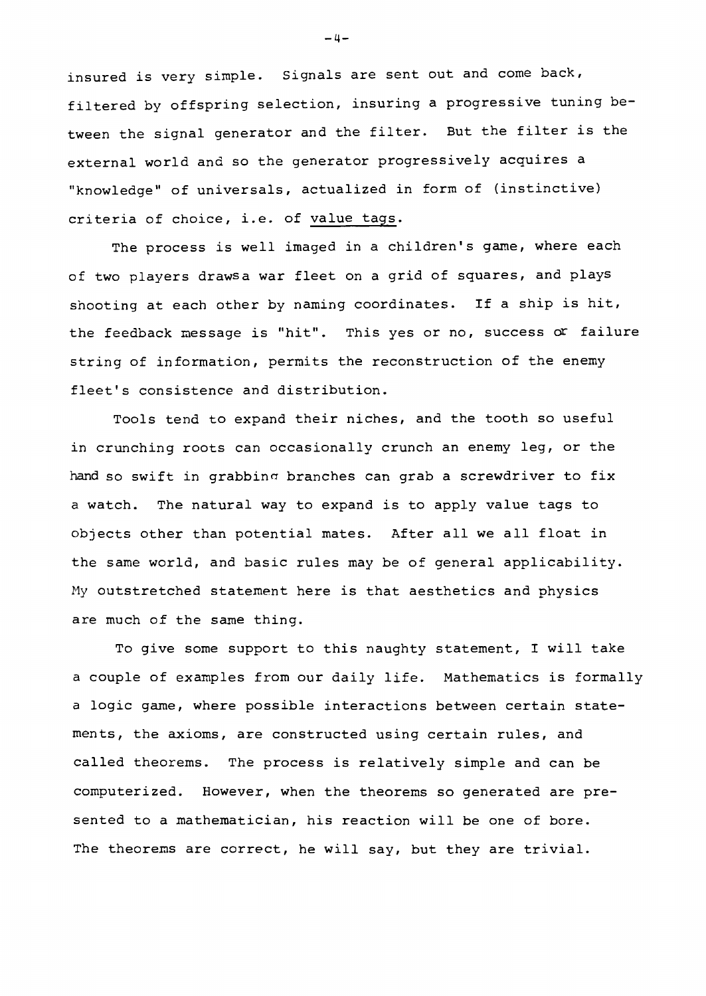insured is very simple. Signals are sent out and come back, filtered by offspring selection, insuring <sup>a</sup> progressive tuning between the signal generator and the filter. But the filter is the external world and so the generator progressively acquires a "knowledge" of universals, actualized in form of (instinctive) criteria of choice, i.e. of value tags.

The process is well imaged in <sup>a</sup> children's game, where each of two players drawsa war fleet on <sup>a</sup> grid of squares, and plays shooting at each other by naming coordinates. If <sup>a</sup> ship is hit, the feedback message is "hit". This yes or no, success or failure string of information, permits the reconstruction of the enemy fleet's consistence and distribution.

Tools tend to expand their niches, and the tooth so useful in crunching roots can occasionally crunch an enemy leg, or the hand so swift in grabbing branches can grab a screwdriver to fix <sup>a</sup> watch. The natural way to expand is to apply value tags to objects other than potential mates. After all we all float in the same world, and basic rules may be of general applicability. My outstretched statement here is that aesthetics and physics are much of the same thing.

To give some support to this naughty statement, <sup>I</sup> will take <sup>a</sup> couple of examples from our daily life. Mathematics is formally <sup>a</sup> logic game, where possible interactions between certain statements, the axioms, are constructed using certain rules, and called theorems. The process is relatively simple and can be computerized. However, when the theorems so generated are presented to a mathematician, his reaction will be one of bore. The theorems are correct, he will say, but they are trivial.

 $-4-$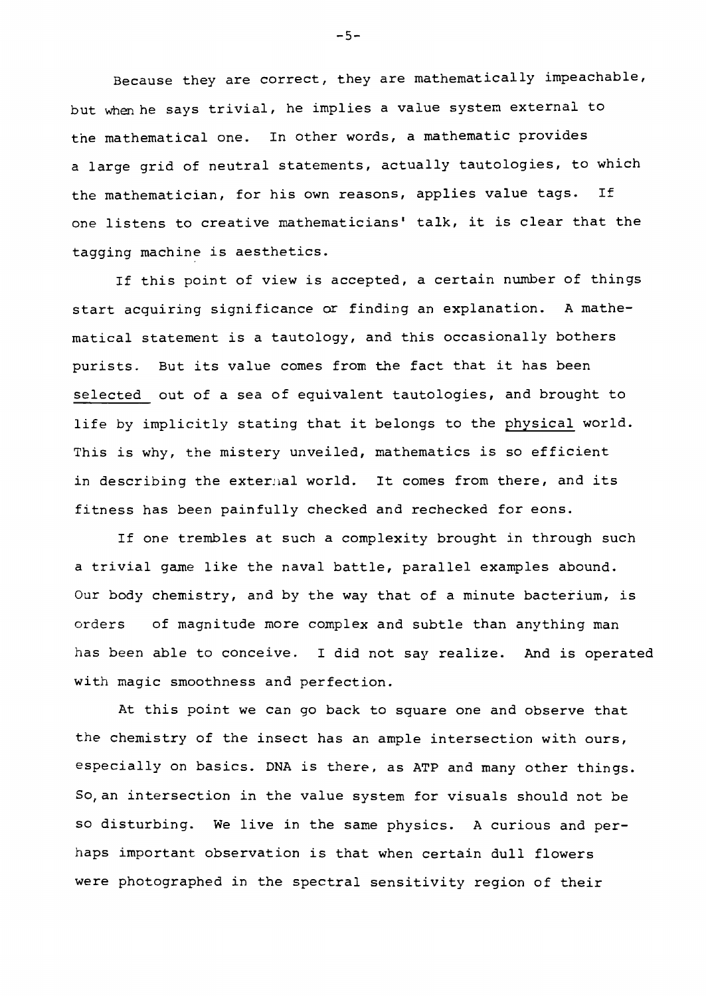Because they are correct, they are mathematically impeachable, but when he says trivial, he implies <sup>a</sup> value system external to the mathematical one. In other words, a mathematic provides a large grid of neutral statements, actually tautologies, to which the mathematician, for his own reasons, applies value tags. If one listens to creative mathematicians' talk, it is clear that the tagging machine is aesthetics.

If this point of view is accepted, <sup>a</sup> certain number of things start acquiring significance or finding an explanation. <sup>A</sup> mathematical statement is <sup>a</sup> tautology, and this occasionally bothers purists. But its value comes from the fact that it has been selected out of a sea of equivalent tautologies, and brought to life by implicitly stating that it belongs to the physical world. This is why, the mistery unveiled, mathematics is so efficient in describing the external world. It comes from there, and its fitness has been painfully checked and rechecked for eons.

If one trembles at such <sup>a</sup> complexity brought in through such <sup>a</sup> trivial game like the naval battle, parallel examples abound. Our body chemistry, and by the way that of <sup>a</sup> minute bacterium, is orders of magnitude more complex and subtle than anything man has been able to conceive. <sup>I</sup> did not say realize. And is operated with magic smoothness and perfection.

At this point we can go back to square one and observe that the chemistry of the insect has an ample intersection with ours, especially on basics. DNA is there, as ATP and many other things. So, an intersection in the value system for visuals should not be so disturbing. We live in the same physics. <sup>A</sup> curious and perhaps important observation is that when certain dull flowers were photographed in the spectral sensitivity region of their

-5-